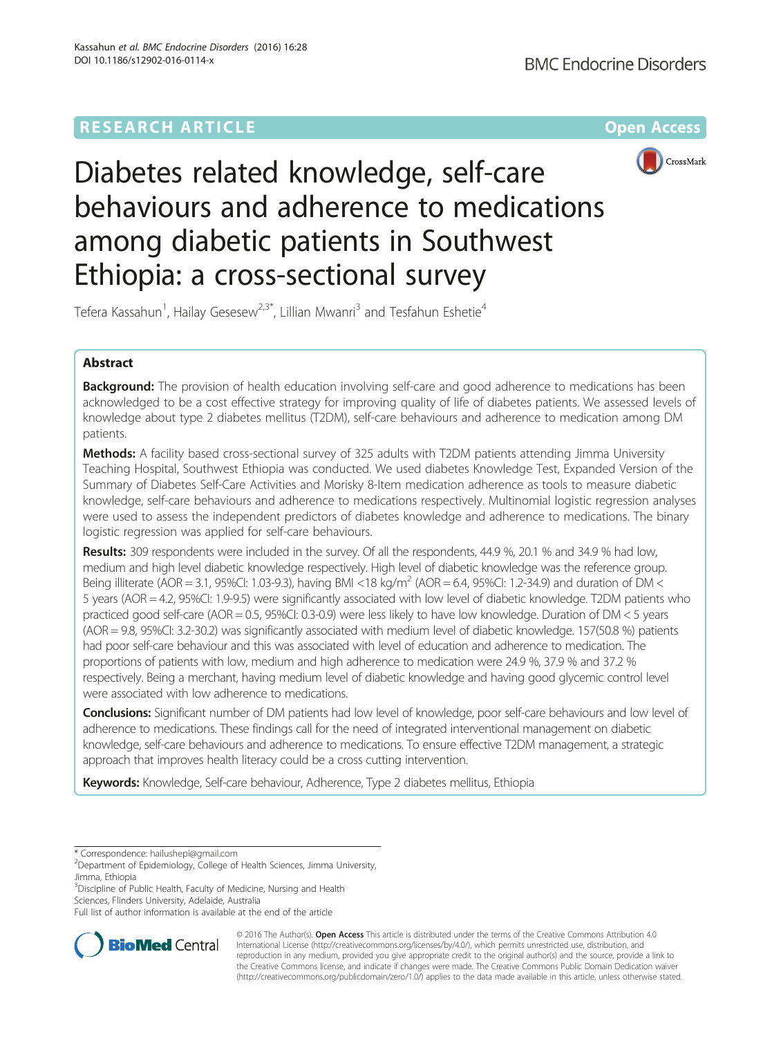## **RESEARCH ARTICLE Example 2014 12:30 The Company Access** (RESEARCH ARTICLE



# Diabetes related knowledge, self-care behaviours and adherence to medications among diabetic patients in Southwest Ethiopia: a cross-sectional survey

Tefera Kassahun<sup>1</sup>, Hailay Gesesew<sup>2,3\*</sup>, Lillian Mwanri<sup>3</sup> and Tesfahun Eshetie<sup>4</sup>

## Abstract

**Background:** The provision of health education involving self-care and good adherence to medications has been acknowledged to be a cost effective strategy for improving quality of life of diabetes patients. We assessed levels of knowledge about type 2 diabetes mellitus (T2DM), self-care behaviours and adherence to medication among DM patients.

Methods: A facility based cross-sectional survey of 325 adults with T2DM patients attending Jimma University Teaching Hospital, Southwest Ethiopia was conducted. We used diabetes Knowledge Test, Expanded Version of the Summary of Diabetes Self-Care Activities and Morisky 8-Item medication adherence as tools to measure diabetic knowledge, self-care behaviours and adherence to medications respectively. Multinomial logistic regression analyses were used to assess the independent predictors of diabetes knowledge and adherence to medications. The binary logistic regression was applied for self-care behaviours.

Results: 309 respondents were included in the survey. Of all the respondents, 44.9 %, 20.1 % and 34.9 % had low, medium and high level diabetic knowledge respectively. High level of diabetic knowledge was the reference group. Being illiterate (AOR = 3.1, 95%CI: 1.03-9.3), having BMI <18 kg/m<sup>2</sup> (AOR = 6.4, 95%CI: 1.2-34.9) and duration of DM < 5 years (AOR = 4.2, 95%CI: 1.9-9.5) were significantly associated with low level of diabetic knowledge. T2DM patients who practiced good self-care (AOR = 0.5, 95%CI: 0.3-0.9) were less likely to have low knowledge. Duration of DM < 5 years (AOR = 9.8, 95%CI: 3.2-30.2) was significantly associated with medium level of diabetic knowledge. 157(50.8 %) patients had poor self-care behaviour and this was associated with level of education and adherence to medication. The proportions of patients with low, medium and high adherence to medication were 24.9 %, 37.9 % and 37.2 % respectively. Being a merchant, having medium level of diabetic knowledge and having good glycemic control level were associated with low adherence to medications.

Conclusions: Significant number of DM patients had low level of knowledge, poor self-care behaviours and low level of adherence to medications. These findings call for the need of integrated interventional management on diabetic knowledge, self-care behaviours and adherence to medications. To ensure effective T2DM management, a strategic approach that improves health literacy could be a cross cutting intervention.

Keywords: Knowledge, Self-care behaviour, Adherence, Type 2 diabetes mellitus, Ethiopia

<sup>3</sup>Discipline of Public Health, Faculty of Medicine, Nursing and Health Sciences, Flinders University, Adelaide, Australia

Full list of author information is available at the end of the article



© 2016 The Author(s). Open Access This article is distributed under the terms of the Creative Commons Attribution 4.0 International License [\(http://creativecommons.org/licenses/by/4.0/](http://creativecommons.org/licenses/by/4.0/)), which permits unrestricted use, distribution, and reproduction in any medium, provided you give appropriate credit to the original author(s) and the source, provide a link to the Creative Commons license, and indicate if changes were made. The Creative Commons Public Domain Dedication waiver [\(http://creativecommons.org/publicdomain/zero/1.0/](http://creativecommons.org/publicdomain/zero/1.0/)) applies to the data made available in this article, unless otherwise stated.

<sup>\*</sup> Correspondence: [hailushepi@gmail.com](mailto:hailushepi@gmail.com) <sup>2</sup>

<sup>&</sup>lt;sup>2</sup>Department of Epidemiology, College of Health Sciences, Jimma University, Jimma, Ethiopia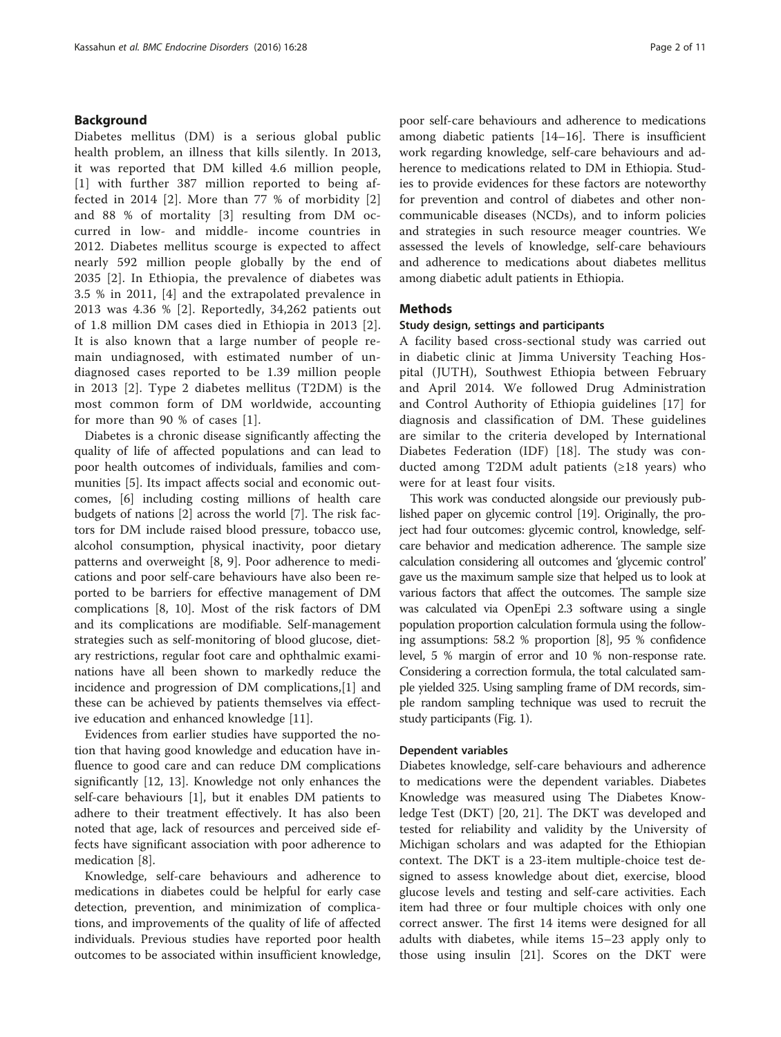## Background

Diabetes mellitus (DM) is a serious global public health problem, an illness that kills silently. In 2013, it was reported that DM killed 4.6 million people, [[1](#page-9-0)] with further 387 million reported to being affected in 2014 [[2\]](#page-9-0). More than 77 % of morbidity [\[2](#page-9-0)] and 88 % of mortality [[3](#page-9-0)] resulting from DM occurred in low- and middle- income countries in 2012. Diabetes mellitus scourge is expected to affect nearly 592 million people globally by the end of 2035 [[2\]](#page-9-0). In Ethiopia, the prevalence of diabetes was 3.5 % in 2011, [[4\]](#page-9-0) and the extrapolated prevalence in 2013 was 4.36 % [\[2](#page-9-0)]. Reportedly, 34,262 patients out of 1.8 million DM cases died in Ethiopia in 2013 [[2](#page-9-0)]. It is also known that a large number of people remain undiagnosed, with estimated number of undiagnosed cases reported to be 1.39 million people in 2013 [[2\]](#page-9-0). Type 2 diabetes mellitus (T2DM) is the most common form of DM worldwide, accounting for more than 90 % of cases [\[1](#page-9-0)].

Diabetes is a chronic disease significantly affecting the quality of life of affected populations and can lead to poor health outcomes of individuals, families and communities [[5](#page-9-0)]. Its impact affects social and economic outcomes, [\[6](#page-9-0)] including costing millions of health care budgets of nations [\[2\]](#page-9-0) across the world [[7](#page-9-0)]. The risk factors for DM include raised blood pressure, tobacco use, alcohol consumption, physical inactivity, poor dietary patterns and overweight [[8, 9](#page-9-0)]. Poor adherence to medications and poor self-care behaviours have also been reported to be barriers for effective management of DM complications [\[8](#page-9-0), [10](#page-9-0)]. Most of the risk factors of DM and its complications are modifiable. Self-management strategies such as self-monitoring of blood glucose, dietary restrictions, regular foot care and ophthalmic examinations have all been shown to markedly reduce the incidence and progression of DM complications,[[1](#page-9-0)] and these can be achieved by patients themselves via effective education and enhanced knowledge [[11](#page-9-0)].

Evidences from earlier studies have supported the notion that having good knowledge and education have influence to good care and can reduce DM complications significantly [[12](#page-9-0), [13](#page-9-0)]. Knowledge not only enhances the self-care behaviours [\[1\]](#page-9-0), but it enables DM patients to adhere to their treatment effectively. It has also been noted that age, lack of resources and perceived side effects have significant association with poor adherence to medication [\[8](#page-9-0)].

Knowledge, self-care behaviours and adherence to medications in diabetes could be helpful for early case detection, prevention, and minimization of complications, and improvements of the quality of life of affected individuals. Previous studies have reported poor health outcomes to be associated within insufficient knowledge, poor self-care behaviours and adherence to medications among diabetic patients [[14](#page-9-0)–[16](#page-9-0)]. There is insufficient work regarding knowledge, self-care behaviours and adherence to medications related to DM in Ethiopia. Studies to provide evidences for these factors are noteworthy for prevention and control of diabetes and other noncommunicable diseases (NCDs), and to inform policies and strategies in such resource meager countries. We assessed the levels of knowledge, self-care behaviours and adherence to medications about diabetes mellitus among diabetic adult patients in Ethiopia.

## Methods

### Study design, settings and participants

A facility based cross-sectional study was carried out in diabetic clinic at Jimma University Teaching Hospital (JUTH), Southwest Ethiopia between February and April 2014. We followed Drug Administration and Control Authority of Ethiopia guidelines [[17\]](#page-9-0) for diagnosis and classification of DM. These guidelines are similar to the criteria developed by International Diabetes Federation (IDF) [\[18](#page-9-0)]. The study was conducted among T2DM adult patients (≥18 years) who were for at least four visits.

This work was conducted alongside our previously published paper on glycemic control [\[19\]](#page-9-0). Originally, the project had four outcomes: glycemic control, knowledge, selfcare behavior and medication adherence. The sample size calculation considering all outcomes and 'glycemic control' gave us the maximum sample size that helped us to look at various factors that affect the outcomes. The sample size was calculated via OpenEpi 2.3 software using a single population proportion calculation formula using the following assumptions: 58.2 % proportion [\[8](#page-9-0)], 95 % confidence level, 5 % margin of error and 10 % non-response rate. Considering a correction formula, the total calculated sample yielded 325. Using sampling frame of DM records, simple random sampling technique was used to recruit the study participants (Fig. [1\)](#page-2-0).

## Dependent variables

Diabetes knowledge, self-care behaviours and adherence to medications were the dependent variables. Diabetes Knowledge was measured using The Diabetes Knowledge Test (DKT) [\[20](#page-9-0), [21\]](#page-9-0). The DKT was developed and tested for reliability and validity by the University of Michigan scholars and was adapted for the Ethiopian context. The DKT is a 23-item multiple-choice test designed to assess knowledge about diet, exercise, blood glucose levels and testing and self-care activities. Each item had three or four multiple choices with only one correct answer. The first 14 items were designed for all adults with diabetes, while items 15–23 apply only to those using insulin [[21](#page-9-0)]. Scores on the DKT were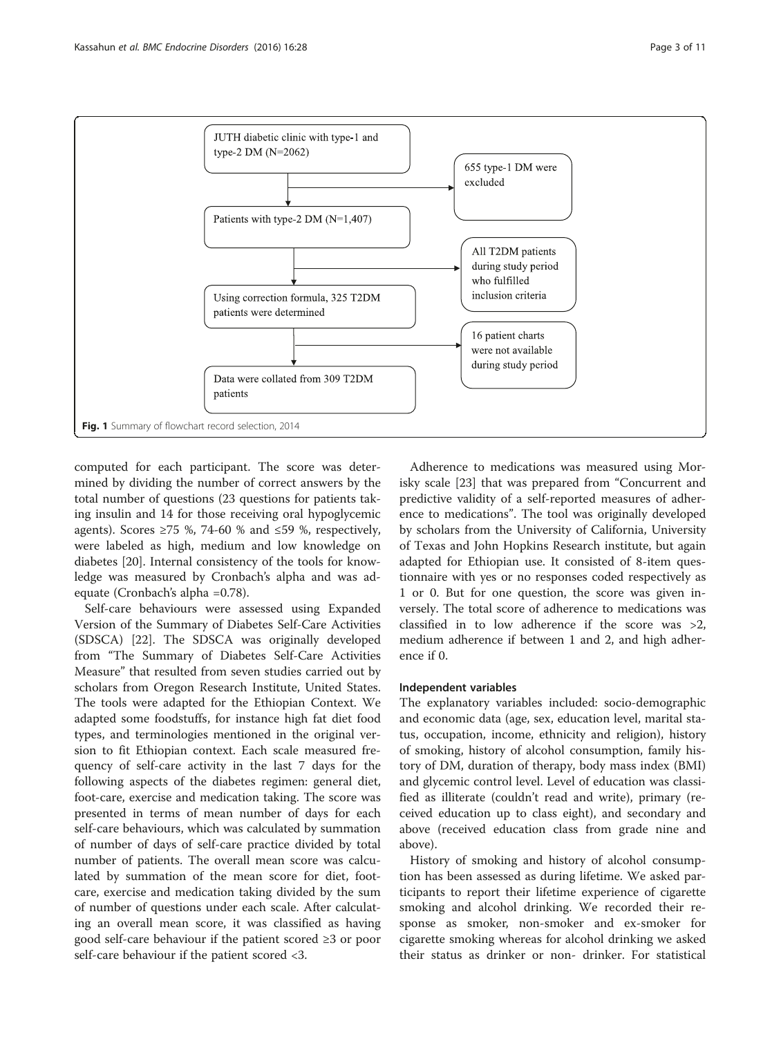<span id="page-2-0"></span>

computed for each participant. The score was determined by dividing the number of correct answers by the total number of questions (23 questions for patients taking insulin and 14 for those receiving oral hypoglycemic agents). Scores  $\geq 75$  %, 74-60 % and  $\leq 59$  %, respectively, were labeled as high, medium and low knowledge on diabetes [\[20\]](#page-9-0). Internal consistency of the tools for knowledge was measured by Cronbach's alpha and was adequate (Cronbach's alpha =0.78).

Self-care behaviours were assessed using Expanded Version of the Summary of Diabetes Self-Care Activities (SDSCA) [\[22](#page-9-0)]. The SDSCA was originally developed from "The Summary of Diabetes Self-Care Activities Measure" that resulted from seven studies carried out by scholars from Oregon Research Institute, United States. The tools were adapted for the Ethiopian Context. We adapted some foodstuffs, for instance high fat diet food types, and terminologies mentioned in the original version to fit Ethiopian context. Each scale measured frequency of self-care activity in the last 7 days for the following aspects of the diabetes regimen: general diet, foot-care, exercise and medication taking. The score was presented in terms of mean number of days for each self-care behaviours, which was calculated by summation of number of days of self-care practice divided by total number of patients. The overall mean score was calculated by summation of the mean score for diet, footcare, exercise and medication taking divided by the sum of number of questions under each scale. After calculating an overall mean score, it was classified as having good self-care behaviour if the patient scored ≥3 or poor self-care behaviour if the patient scored <3.

Adherence to medications was measured using Morisky scale [\[23](#page-9-0)] that was prepared from "Concurrent and predictive validity of a self-reported measures of adherence to medications". The tool was originally developed by scholars from the University of California, University of Texas and John Hopkins Research institute, but again adapted for Ethiopian use. It consisted of 8-item questionnaire with yes or no responses coded respectively as 1 or 0. But for one question, the score was given inversely. The total score of adherence to medications was classified in to low adherence if the score was >2, medium adherence if between 1 and 2, and high adherence if 0.

## Independent variables

The explanatory variables included: socio-demographic and economic data (age, sex, education level, marital status, occupation, income, ethnicity and religion), history of smoking, history of alcohol consumption, family history of DM, duration of therapy, body mass index (BMI) and glycemic control level. Level of education was classified as illiterate (couldn't read and write), primary (received education up to class eight), and secondary and above (received education class from grade nine and above).

History of smoking and history of alcohol consumption has been assessed as during lifetime. We asked participants to report their lifetime experience of cigarette smoking and alcohol drinking. We recorded their response as smoker, non-smoker and ex-smoker for cigarette smoking whereas for alcohol drinking we asked their status as drinker or non- drinker. For statistical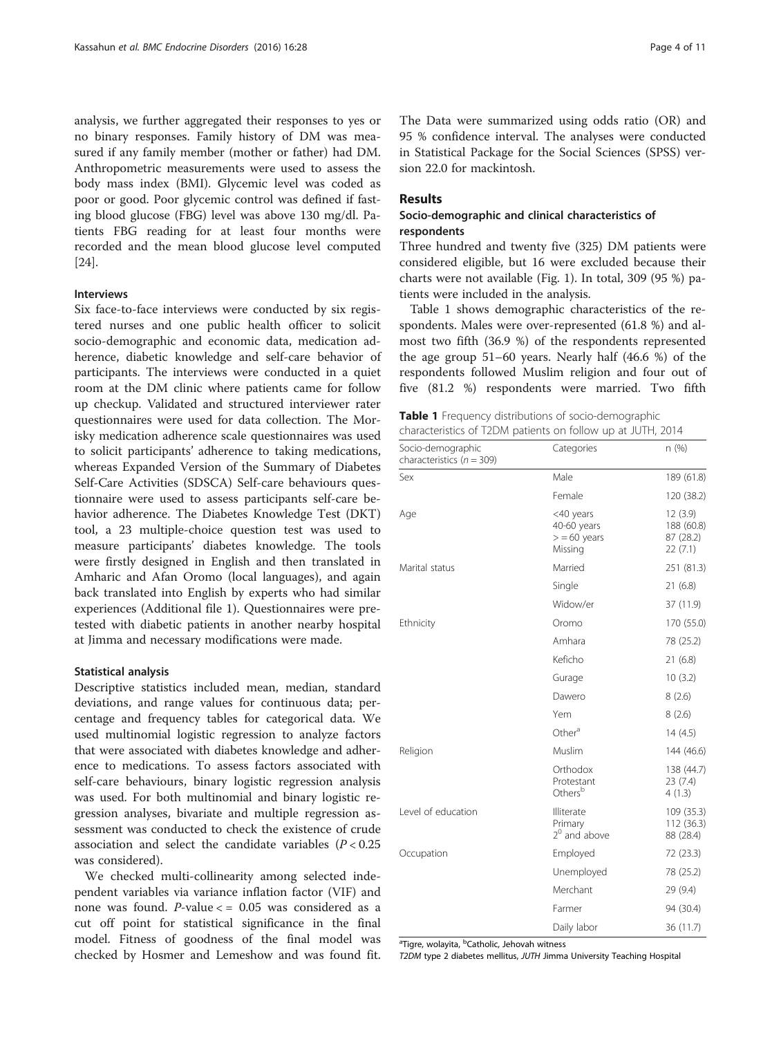analysis, we further aggregated their responses to yes or no binary responses. Family history of DM was measured if any family member (mother or father) had DM. Anthropometric measurements were used to assess the body mass index (BMI). Glycemic level was coded as poor or good. Poor glycemic control was defined if fasting blood glucose (FBG) level was above 130 mg/dl. Patients FBG reading for at least four months were recorded and the mean blood glucose level computed [[24\]](#page-9-0).

## Interviews

Six face-to-face interviews were conducted by six registered nurses and one public health officer to solicit socio-demographic and economic data, medication adherence, diabetic knowledge and self-care behavior of participants. The interviews were conducted in a quiet room at the DM clinic where patients came for follow up checkup. Validated and structured interviewer rater questionnaires were used for data collection. The Morisky medication adherence scale questionnaires was used to solicit participants' adherence to taking medications, whereas Expanded Version of the Summary of Diabetes Self-Care Activities (SDSCA) Self-care behaviours questionnaire were used to assess participants self-care behavior adherence. The Diabetes Knowledge Test (DKT) tool, a 23 multiple-choice question test was used to measure participants' diabetes knowledge. The tools were firstly designed in English and then translated in Amharic and Afan Oromo (local languages), and again back translated into English by experts who had similar experiences (Additional file [1\)](#page-8-0). Questionnaires were pretested with diabetic patients in another nearby hospital at Jimma and necessary modifications were made.

### Statistical analysis

Descriptive statistics included mean, median, standard deviations, and range values for continuous data; percentage and frequency tables for categorical data. We used multinomial logistic regression to analyze factors that were associated with diabetes knowledge and adherence to medications. To assess factors associated with self-care behaviours, binary logistic regression analysis was used. For both multinomial and binary logistic regression analyses, bivariate and multiple regression assessment was conducted to check the existence of crude association and select the candidate variables  $(P < 0.25)$ was considered).

We checked multi-collinearity among selected independent variables via variance inflation factor (VIF) and none was found. P-value < = 0.05 was considered as a cut off point for statistical significance in the final model. Fitness of goodness of the final model was checked by Hosmer and Lemeshow and was found fit.

The Data were summarized using odds ratio (OR) and 95 % confidence interval. The analyses were conducted in Statistical Package for the Social Sciences (SPSS) version 22.0 for mackintosh.

## Results

## Socio-demographic and clinical characteristics of respondents

Three hundred and twenty five (325) DM patients were considered eligible, but 16 were excluded because their charts were not available (Fig. [1](#page-2-0)). In total, 309 (95 %) patients were included in the analysis.

Table 1 shows demographic characteristics of the respondents. Males were over-represented (61.8 %) and almost two fifth (36.9 %) of the respondents represented the age group 51–60 years. Nearly half (46.6 %) of the respondents followed Muslim religion and four out of five (81.2 %) respondents were married. Two fifth

| <b>Table 1</b> Frequency distributions of socio-demographic |  |  |  |
|-------------------------------------------------------------|--|--|--|
| characteristics of T2DM patients on follow up at JUTH, 2014 |  |  |  |

| Socio-demographic<br>characteristics ( $n = 309$ ) | Categories                                            | n (%)                                         |
|----------------------------------------------------|-------------------------------------------------------|-----------------------------------------------|
| Sex                                                | Male                                                  | 189 (61.8)                                    |
|                                                    | Female                                                | 120 (38.2)                                    |
| Age                                                | <40 years<br>40-60 years<br>$>$ = 60 years<br>Missing | 12(3.9)<br>188 (60.8)<br>87 (28.2)<br>22(7.1) |
| Marital status                                     | Married                                               | 251 (81.3)                                    |
|                                                    | Single                                                | 21(6.8)                                       |
|                                                    | Widow/er                                              | 37 (11.9)                                     |
| Ethnicity                                          | Oromo                                                 | 170 (55.0)                                    |
|                                                    | Amhara                                                | 78 (25.2)                                     |
|                                                    | Keficho                                               | 21 (6.8)                                      |
|                                                    | Gurage                                                | 10(3.2)                                       |
|                                                    | Dawero                                                | 8(2.6)                                        |
|                                                    | Yem                                                   | 8(2.6)                                        |
|                                                    | Other <sup>a</sup>                                    | 14(4.5)                                       |
| Religion                                           | Muslim                                                | 144 (46.6)                                    |
|                                                    | Orthodox<br>Protestant<br>Others <sup>b</sup>         | 138 (44.7)<br>23 (7.4)<br>4(1.3)              |
| Level of education                                 | Illiterate<br>Primary<br>$2^0$ and above              | 109 (35.3)<br>112 (36.3)<br>88 (28.4)         |
| Occupation                                         | Employed                                              | 72 (23.3)                                     |
|                                                    | Unemployed                                            | 78 (25.2)                                     |
|                                                    | Merchant                                              | 29 (9.4)                                      |
|                                                    | Farmer                                                | 94 (30.4)                                     |
|                                                    | Daily labor                                           | 36 (11.7)                                     |

<sup>a</sup>Tigre, wolayita, <sup>b</sup>Catholic, Jehovah witness

T2DM type 2 diabetes mellitus, JUTH Jimma University Teaching Hospital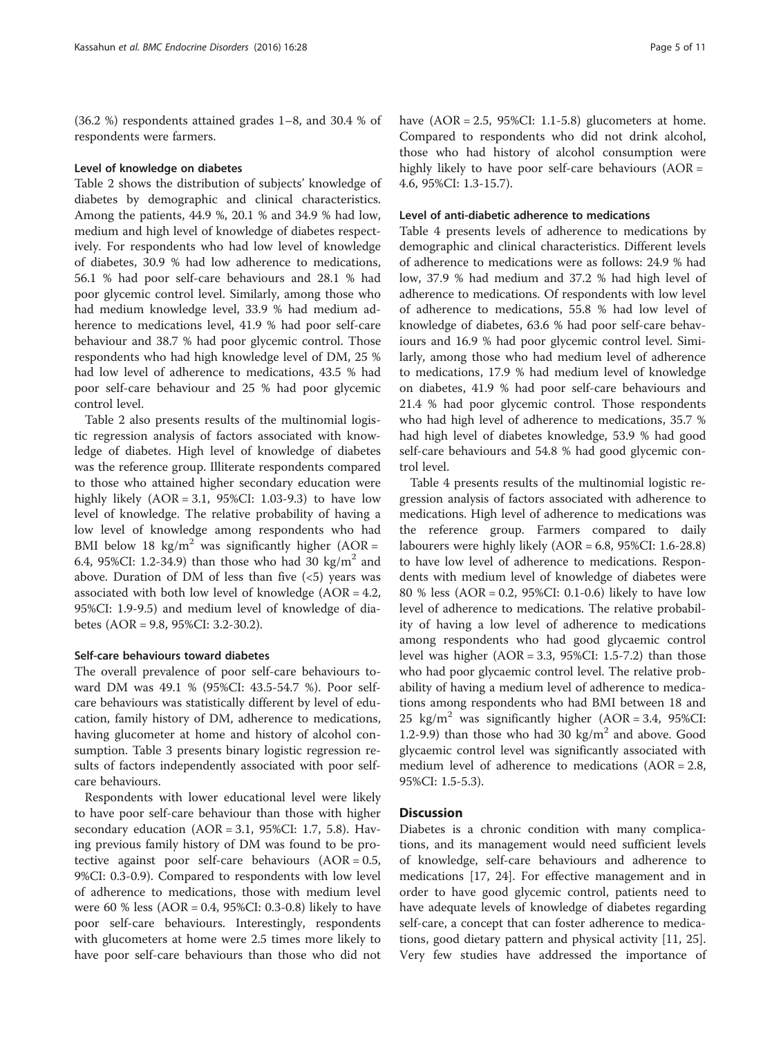(36.2 %) respondents attained grades 1–8, and 30.4 % of respondents were farmers.

#### Level of knowledge on diabetes

Table [2](#page-5-0) shows the distribution of subjects' knowledge of diabetes by demographic and clinical characteristics. Among the patients, 44.9 %, 20.1 % and 34.9 % had low, medium and high level of knowledge of diabetes respectively. For respondents who had low level of knowledge of diabetes, 30.9 % had low adherence to medications, 56.1 % had poor self-care behaviours and 28.1 % had poor glycemic control level. Similarly, among those who had medium knowledge level, 33.9 % had medium adherence to medications level, 41.9 % had poor self-care behaviour and 38.7 % had poor glycemic control. Those respondents who had high knowledge level of DM, 25 % had low level of adherence to medications, 43.5 % had poor self-care behaviour and 25 % had poor glycemic control level.

Table [2](#page-5-0) also presents results of the multinomial logistic regression analysis of factors associated with knowledge of diabetes. High level of knowledge of diabetes was the reference group. Illiterate respondents compared to those who attained higher secondary education were highly likely  $(AOR = 3.1, 95\% CI: 1.03-9.3)$  to have low level of knowledge. The relative probability of having a low level of knowledge among respondents who had BMI below 18 kg/m<sup>2</sup> was significantly higher (AOR = 6.4, 95%CI: 1.2-34.9) than those who had 30 kg/m<sup>2</sup> and above. Duration of DM of less than five  $(5)$  years was associated with both low level of knowledge  $(AOR = 4.2,$ 95%CI: 1.9-9.5) and medium level of knowledge of diabetes (AOR = 9.8, 95%CI: 3.2-30.2).

#### Self-care behaviours toward diabetes

The overall prevalence of poor self-care behaviours toward DM was 49.1 % (95%CI: 43.5-54.7 %). Poor selfcare behaviours was statistically different by level of education, family history of DM, adherence to medications, having glucometer at home and history of alcohol consumption. Table [3](#page-6-0) presents binary logistic regression results of factors independently associated with poor selfcare behaviours.

Respondents with lower educational level were likely to have poor self-care behaviour than those with higher secondary education  $(AOR = 3.1, 95\%CI: 1.7, 5.8)$ . Having previous family history of DM was found to be protective against poor self-care behaviours (AOR = 0.5, 9%CI: 0.3-0.9). Compared to respondents with low level of adherence to medications, those with medium level were 60 % less (AOR = 0.4, 95%CI: 0.3-0.8) likely to have poor self-care behaviours. Interestingly, respondents with glucometers at home were 2.5 times more likely to have poor self-care behaviours than those who did not have  $(AOR = 2.5, 95\% CI: 1.1-5.8)$  glucometers at home. Compared to respondents who did not drink alcohol, those who had history of alcohol consumption were highly likely to have poor self-care behaviours (AOR = 4.6, 95%CI: 1.3-15.7).

### Level of anti-diabetic adherence to medications

Table [4](#page-7-0) presents levels of adherence to medications by demographic and clinical characteristics. Different levels of adherence to medications were as follows: 24.9 % had low, 37.9 % had medium and 37.2 % had high level of adherence to medications. Of respondents with low level of adherence to medications, 55.8 % had low level of knowledge of diabetes, 63.6 % had poor self-care behaviours and 16.9 % had poor glycemic control level. Similarly, among those who had medium level of adherence to medications, 17.9 % had medium level of knowledge on diabetes, 41.9 % had poor self-care behaviours and 21.4 % had poor glycemic control. Those respondents who had high level of adherence to medications, 35.7 % had high level of diabetes knowledge, 53.9 % had good self-care behaviours and 54.8 % had good glycemic control level.

Table [4](#page-7-0) presents results of the multinomial logistic regression analysis of factors associated with adherence to medications. High level of adherence to medications was the reference group. Farmers compared to daily labourers were highly likely  $(AOR = 6.8, 95\% CI: 1.6-28.8)$ to have low level of adherence to medications. Respondents with medium level of knowledge of diabetes were 80 % less (AOR = 0.2, 95%CI: 0.1-0.6) likely to have low level of adherence to medications. The relative probability of having a low level of adherence to medications among respondents who had good glycaemic control level was higher  $(AOR = 3.3, 95\% CI: 1.5-7.2)$  than those who had poor glycaemic control level. The relative probability of having a medium level of adherence to medications among respondents who had BMI between 18 and 25 kg/m<sup>2</sup> was significantly higher  $(AOR = 3.4, 95\% CI:$ 1.2-9.9) than those who had 30  $\text{kg/m}^2$  and above. Good glycaemic control level was significantly associated with medium level of adherence to medications (AOR = 2.8, 95%CI: 1.5-5.3).

## **Discussion**

Diabetes is a chronic condition with many complications, and its management would need sufficient levels of knowledge, self-care behaviours and adherence to medications [[17](#page-9-0), [24\]](#page-9-0). For effective management and in order to have good glycemic control, patients need to have adequate levels of knowledge of diabetes regarding self-care, a concept that can foster adherence to medications, good dietary pattern and physical activity [\[11, 25](#page-9-0)]. Very few studies have addressed the importance of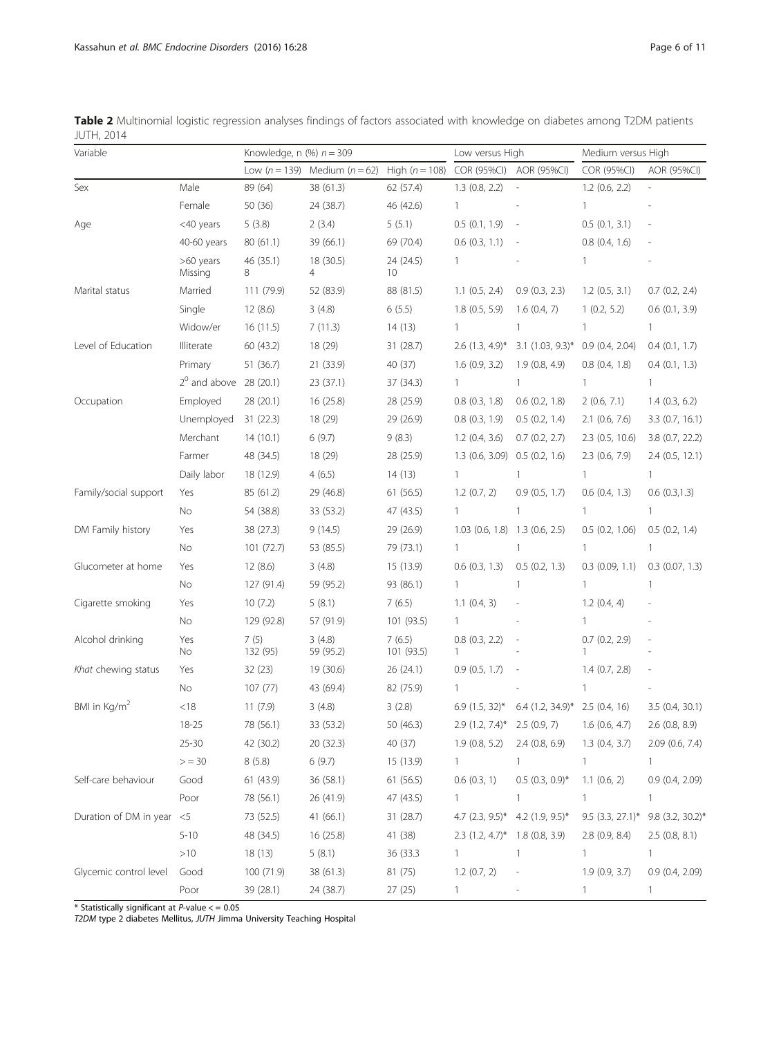| Variable                 |                           | Knowledge, n $(\%)$ $n = 309$ |                                                                      |                      | Low versus High                        |                                                    | Medium versus High  |                          |
|--------------------------|---------------------------|-------------------------------|----------------------------------------------------------------------|----------------------|----------------------------------------|----------------------------------------------------|---------------------|--------------------------|
|                          |                           |                               | Low (n = 139) Medium (n = 62) High (n = 108) COR (95%CI) AOR (95%CI) |                      |                                        |                                                    | COR (95%CI)         | AOR (95%CI)              |
| Sex                      | Male                      | 89 (64)                       | 38 (61.3)                                                            | 62 (57.4)            | $1.3$ (0.8, 2.2)                       |                                                    | $1.2$ (0.6, 2.2)    |                          |
|                          | Female                    | 50 (36)                       | 24 (38.7)                                                            | 46 (42.6)            | 1                                      |                                                    | $\mathbf{1}$        |                          |
| Age                      | <40 years                 | 5(3.8)                        | 2(3.4)                                                               | 5(5.1)               | $0.5$ $(0.1, 1.9)$                     |                                                    | 0.5(0.1, 3.1)       | $\overline{\phantom{0}}$ |
|                          | 40-60 years               | 80(61.1)                      | 39 (66.1)                                                            | 69 (70.4)            | $0.6$ $(0.3, 1.1)$                     |                                                    | $0.8$ $(0.4, 1.6)$  |                          |
|                          | >60 years<br>Missing      | 46 (35.1)<br>8                | 18 (30.5)<br>4                                                       | 24 (24.5)<br>10      | 1                                      |                                                    | $\mathbf{1}$        |                          |
| Marital status           | Married                   | 111 (79.9)                    | 52 (83.9)                                                            | 88 (81.5)            | $1.1$ (0.5, 2.4)                       | 0.9(0.3, 2.3)                                      | $1.2$ (0.5, 3.1)    | $0.7$ $(0.2, 2.4)$       |
|                          | Single                    | 12(8.6)                       | 3(4.8)                                                               | 6(5.5)               | $1.8$ (0.5, 5.9)                       | 1.6(0.4, 7)                                        | 1(0.2, 5.2)         | $0.6$ $(0.1, 3.9)$       |
|                          | Widow/er                  | 16(11.5)                      | 7(11.3)                                                              | 14 (13)              | $\mathbf{1}$                           | 1                                                  | $\mathbf{1}$        | $\mathbf{1}$             |
| Level of Education       | Illiterate                | 60 (43.2)                     | 18 (29)                                                              | 31 (28.7)            |                                        | $2.6$ (1.3, 4.9)* 3.1 (1.03, 9.3)* 0.9 (0.4, 2.04) |                     | $0.4$ $(0.1, 1.7)$       |
|                          | Primary                   | 51 (36.7)                     | 21 (33.9)                                                            | 40 (37)              | $1.6$ (0.9, 3.2)                       | 1.9(0.8, 4.9)                                      | $0.8$ $(0.4, 1.8)$  | $0.4$ $(0.1, 1.3)$       |
|                          | $2^0$ and above 28 (20.1) |                               | 23 (37.1)                                                            | 37 (34.3)            | $\mathbf{1}$                           | $\mathbf{1}$                                       | $\mathbf{1}$        | $\mathbf{1}$             |
| Occupation               | Employed                  | 28 (20.1)                     | 16(25.8)                                                             | 28 (25.9)            | $0.8$ $(0.3, 1.8)$                     | $0.6$ $(0.2, 1.8)$                                 | 2(0.6, 7.1)         | 1.4(0.3, 6.2)            |
|                          | Unemployed                | 31(22.3)                      | 18 (29)                                                              | 29 (26.9)            | $0.8$ $(0.3, 1.9)$                     | 0.5(0.2, 1.4)                                      | $2.1$ (0.6, 7.6)    | 3.3(0.7, 16.1)           |
|                          | Merchant                  | 14(10.1)                      | 6(9.7)                                                               | 9(8.3)               | $1.2$ (0.4, 3.6)                       | $0.7$ $(0.2, 2.7)$                                 | $2.3$ (0.5, 10.6)   | 3.8 (0.7, 22.2)          |
|                          | Farmer                    | 48 (34.5)                     | 18 (29)                                                              | 28 (25.9)            | 1.3 (0.6, 3.09) 0.5 (0.2, 1.6)         |                                                    | $2.3$ (0.6, 7.9)    | $2.4$ (0.5, 12.1)        |
|                          | Daily labor               | 18 (12.9)                     | 4(6.5)                                                               | 14(13)               | $\mathbf{1}$                           | 1                                                  | $\mathbf{1}$        | $\mathbf{1}$             |
| Family/social support    | Yes                       | 85 (61.2)                     | 29 (46.8)                                                            | 61 (56.5)            | 1.2(0.7, 2)                            | 0.9(0.5, 1.7)                                      | $0.6$ $(0.4, 1.3)$  | 0.6(0.3,1.3)             |
|                          | No                        | 54 (38.8)                     | 33 (53.2)                                                            | 47 (43.5)            | $\mathbf{1}$                           | $\mathbf{1}$                                       | $\mathbf{1}$        | $\mathbf{1}$             |
| DM Family history        | Yes                       | 38 (27.3)                     | 9(14.5)                                                              | 29 (26.9)            | $1.03$ $(0.6, 1.8)$ $1.3$ $(0.6, 2.5)$ |                                                    | $0.5$ $(0.2, 1.06)$ | 0.5(0.2, 1.4)            |
|                          | No                        | 101(72.7)                     | 53 (85.5)                                                            | 79 (73.1)            | $\mathbf{1}$                           | 1                                                  | $\mathbf{1}$        | $\mathbf{1}$             |
| Glucometer at home       | Yes                       | 12(8.6)                       | 3(4.8)                                                               | 15 (13.9)            | $0.6$ $(0.3, 1.3)$                     | 0.5(0.2, 1.3)                                      | $0.3$ (0.09, 1.1)   | $0.3$ $(0.07, 1.3)$      |
|                          | No                        | 127 (91.4)                    | 59 (95.2)                                                            | 93 (86.1)            | 1                                      | 1                                                  | $\mathbf{1}$        | 1                        |
| Cigarette smoking        | Yes                       | 10(7.2)                       | 5(8.1)                                                               | 7(6.5)               | $1.1$ (0.4, 3)                         |                                                    | $1.2$ (0.4, 4)      |                          |
|                          | No                        | 129 (92.8)                    | 57 (91.9)                                                            | 101 (93.5)           | $\mathbf{1}$                           |                                                    | $\mathbf{1}$        |                          |
| Alcohol drinking         | Yes<br>No                 | 7(5)<br>132 (95)              | 3(4.8)<br>59 (95.2)                                                  | 7(6.5)<br>101 (93.5) | $0.8$ $(0.3, 2.2)$<br>1.               |                                                    | 0.7(0.2, 2.9)       | i,                       |
| Khat chewing status      | Yes                       | 32 (23)                       | 19 (30.6)                                                            | 26 (24.1)            | $0.9$ $(0.5, 1.7)$                     |                                                    | $1.4$ (0.7, 2.8)    | $\frac{1}{2}$            |
|                          | No                        | 107(77)                       | 43 (69.4)                                                            | 82 (75.9)            | 1                                      |                                                    | $\mathbf{1}$        |                          |
| BMI in Kg/m <sup>2</sup> | < 18                      | 11(7.9)                       | 3(4.8)                                                               | 3(2.8)               | $6.9(1.5, 32)^{*}$                     | $6.4$ (1.2, 34.9)* 2.5 (0.4, 16)                   |                     | 3.5(0.4, 30.1)           |
|                          | 18-25                     | 78 (56.1)                     | 33 (53.2)                                                            | 50 (46.3)            | $2.9$ (1.2, 7.4)*                      | 2.5(0.9, 7)                                        | $1.6$ (0.6, 4.7)    | $2.6$ (0.8, 8.9)         |
|                          | $25 - 30$                 | 42 (30.2)                     | 20 (32.3)                                                            | 40 (37)              | 1.9(0.8, 5.2)                          | $2.4$ (0.8, 6.9)                                   | 1.3(0.4, 3.7)       | 2.09(0.6, 7.4)           |
|                          | > 30                      | 8(5.8)                        | 6(9.7)                                                               | 15 (13.9)            | $\mathbf{1}$                           | $\mathbf{1}$                                       | $\mathbf{1}$        | $\mathbf{1}$             |
| Self-care behaviour      | Good                      | 61 (43.9)                     | 36 (58.1)                                                            | 61(56.5)             | $0.6$ $(0.3, 1)$                       | $0.5$ (0.3, 0.9)*                                  | $1.1$ (0.6, 2)      | $0.9$ $(0.4, 2.09)$      |
|                          | Poor                      | 78 (56.1)                     | 26 (41.9)                                                            | 47 (43.5)            | $\mathbf{1}$                           | $\mathbf{1}$                                       | $\mathbf{1}$        | $\mathbf{1}$             |
| Duration of DM in year   | $<$ 5                     | 73 (52.5)                     | 41(66.1)                                                             | 31(28.7)             |                                        | 4.7 (2.3, 9.5)* 4.2 (1.9, 9.5)*                    | 9.5 $(3.3, 27.1)^*$ | $9.8$ (3.2, 30.2)*       |
|                          | $5 - 10$                  | 48 (34.5)                     | 16 (25.8)                                                            | 41 (38)              | $2.3$ (1.2, 4.7)* 1.8 (0.8, 3.9)       |                                                    | 2.8(0.9, 8.4)       | $2.5$ (0.8, 8.1)         |
|                          | >10                       | 18(13)                        | 5(8.1)                                                               | 36 (33.3)            | 1                                      | 1                                                  | $\mathbf{1}$        | $\mathbf{1}$             |
| Glycemic control level   | Good                      | 100 (71.9)                    | 38 (61.3)                                                            | 81 (75)              | 1.2(0.7, 2)                            |                                                    | 1.9(0.9, 3.7)       | $0.9$ $(0.4, 2.09)$      |
|                          | Poor                      | 39 (28.1)                     | 24 (38.7)                                                            | 27(25)               | $\mathbf{1}$                           |                                                    | $\mathbf{1}$        | 1                        |

<span id="page-5-0"></span>Table 2 Multinomial logistic regression analyses findings of factors associated with knowledge on diabetes among T2DM patients JUTH, 2014

\* Statistically significant at  $P$ -value  $\lt$  = 0.05

T2DM type 2 diabetes Mellitus, JUTH Jimma University Teaching Hospital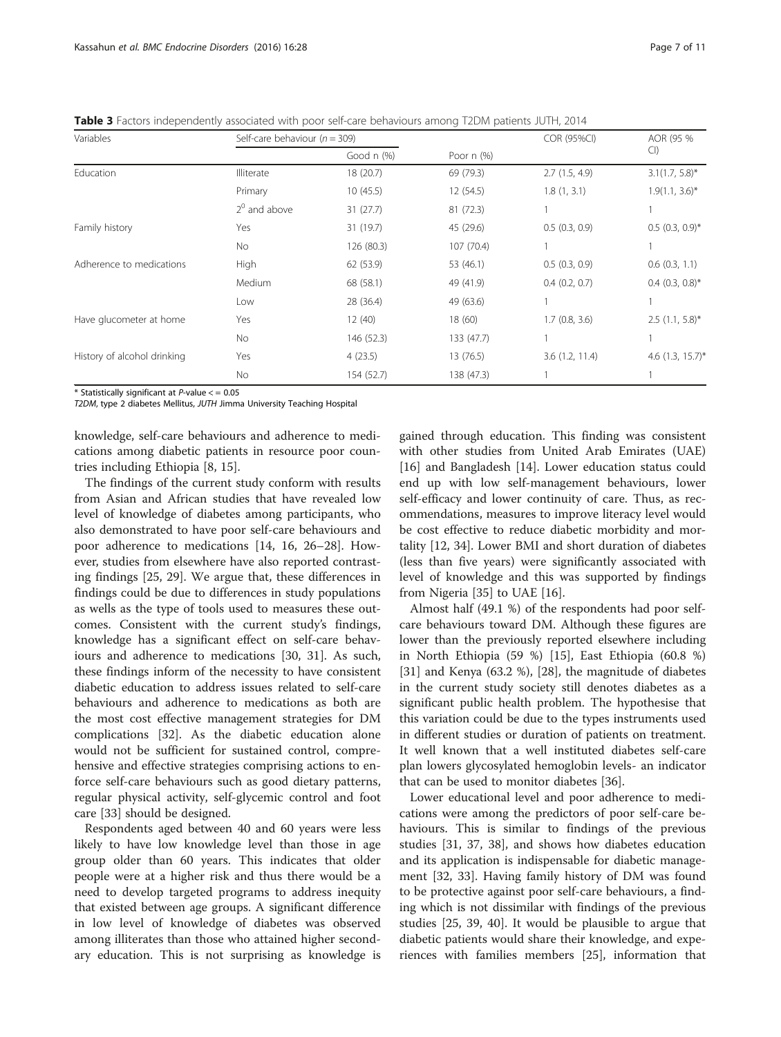<span id="page-6-0"></span>Table 3 Factors independently associated with poor self-care behaviours among T2DM patients JUTH, 2014

| Variables                   | Self-care behaviour ( $n = 309$ ) |            |                 | COR (95%CI)        | AOR (95 %           |  |
|-----------------------------|-----------------------------------|------------|-----------------|--------------------|---------------------|--|
|                             |                                   | Good n (%) | Poor $n$ $(\%)$ |                    | CI)                 |  |
| Education                   | <b>Illiterate</b>                 | 18 (20.7)  | 69 (79.3)       | 2.7(1.5, 4.9)      | $3.1(1.7, 5.8)^*$   |  |
|                             | Primary                           | 10(45.5)   | 12 (54.5)       | 1.8(1, 3.1)        | $1.9(1.1, 3.6)^{*}$ |  |
|                             | $2^0$ and above                   | 31(27.7)   | 81 (72.3)       |                    |                     |  |
| Family history              | Yes                               | 31 (19.7)  | 45 (29.6)       | 0.5(0.3, 0.9)      | $0.5$ (0.3, 0.9)*   |  |
|                             | No.                               | 126 (80.3) | 107 (70.4)      |                    |                     |  |
| Adherence to medications    | High                              | 62 (53.9)  | 53 (46.1)       | 0.5(0.3, 0.9)      | $0.6$ $(0.3, 1.1)$  |  |
|                             | <b>Medium</b>                     | 68 (58.1)  | 49 (41.9)       | $0.4$ $(0.2, 0.7)$ | $0.4$ (0.3, 0.8)*   |  |
|                             | Low                               | 28 (36.4)  | 49 (63.6)       |                    |                     |  |
| Have glucometer at home     | Yes                               | 12 (40)    | 18 (60)         | 1.7(0.8, 3.6)      | $2.5$ (1.1, 5.8)*   |  |
|                             | No.                               | 146 (52.3) | 133 (47.7)      |                    |                     |  |
| History of alcohol drinking | Yes                               | 4(23.5)    | 13 (76.5)       | 3.6(1.2, 11.4)     | 4.6 $(1.3, 15.7)^*$ |  |
|                             | No.                               | 154 (52.7) | 138 (47.3)      |                    |                     |  |

\* Statistically significant at  $P$ -value  $\lt$  = 0.05

T2DM, type 2 diabetes Mellitus, JUTH Jimma University Teaching Hospital

knowledge, self-care behaviours and adherence to medications among diabetic patients in resource poor countries including Ethiopia [\[8](#page-9-0), [15](#page-9-0)].

The findings of the current study conform with results from Asian and African studies that have revealed low level of knowledge of diabetes among participants, who also demonstrated to have poor self-care behaviours and poor adherence to medications [[14, 16, 26](#page-9-0)–[28](#page-9-0)]. However, studies from elsewhere have also reported contrasting findings [[25, 29\]](#page-9-0). We argue that, these differences in findings could be due to differences in study populations as wells as the type of tools used to measures these outcomes. Consistent with the current study's findings, knowledge has a significant effect on self-care behaviours and adherence to medications [[30, 31](#page-9-0)]. As such, these findings inform of the necessity to have consistent diabetic education to address issues related to self-care behaviours and adherence to medications as both are the most cost effective management strategies for DM complications [[32](#page-9-0)]. As the diabetic education alone would not be sufficient for sustained control, comprehensive and effective strategies comprising actions to enforce self-care behaviours such as good dietary patterns, regular physical activity, self-glycemic control and foot care [[33\]](#page-9-0) should be designed.

Respondents aged between 40 and 60 years were less likely to have low knowledge level than those in age group older than 60 years. This indicates that older people were at a higher risk and thus there would be a need to develop targeted programs to address inequity that existed between age groups. A significant difference in low level of knowledge of diabetes was observed among illiterates than those who attained higher secondary education. This is not surprising as knowledge is

gained through education. This finding was consistent with other studies from United Arab Emirates (UAE) [[16\]](#page-9-0) and Bangladesh [[14](#page-9-0)]. Lower education status could end up with low self-management behaviours, lower self-efficacy and lower continuity of care. Thus, as recommendations, measures to improve literacy level would be cost effective to reduce diabetic morbidity and mortality [\[12, 34](#page-9-0)]. Lower BMI and short duration of diabetes (less than five years) were significantly associated with level of knowledge and this was supported by findings from Nigeria [\[35](#page-10-0)] to UAE [[16\]](#page-9-0).

Almost half (49.1 %) of the respondents had poor selfcare behaviours toward DM. Although these figures are lower than the previously reported elsewhere including in North Ethiopia (59 %) [\[15](#page-9-0)], East Ethiopia (60.8 %) [[31\]](#page-9-0) and Kenya (63.2 %), [[28\]](#page-9-0), the magnitude of diabetes in the current study society still denotes diabetes as a significant public health problem. The hypothesise that this variation could be due to the types instruments used in different studies or duration of patients on treatment. It well known that a well instituted diabetes self-care plan lowers glycosylated hemoglobin levels- an indicator that can be used to monitor diabetes [[36](#page-10-0)].

Lower educational level and poor adherence to medications were among the predictors of poor self-care behaviours. This is similar to findings of the previous studies [\[31](#page-9-0), [37](#page-10-0), [38](#page-10-0)], and shows how diabetes education and its application is indispensable for diabetic management [\[32, 33](#page-9-0)]. Having family history of DM was found to be protective against poor self-care behaviours, a finding which is not dissimilar with findings of the previous studies [\[25,](#page-9-0) [39, 40\]](#page-10-0). It would be plausible to argue that diabetic patients would share their knowledge, and experiences with families members [\[25\]](#page-9-0), information that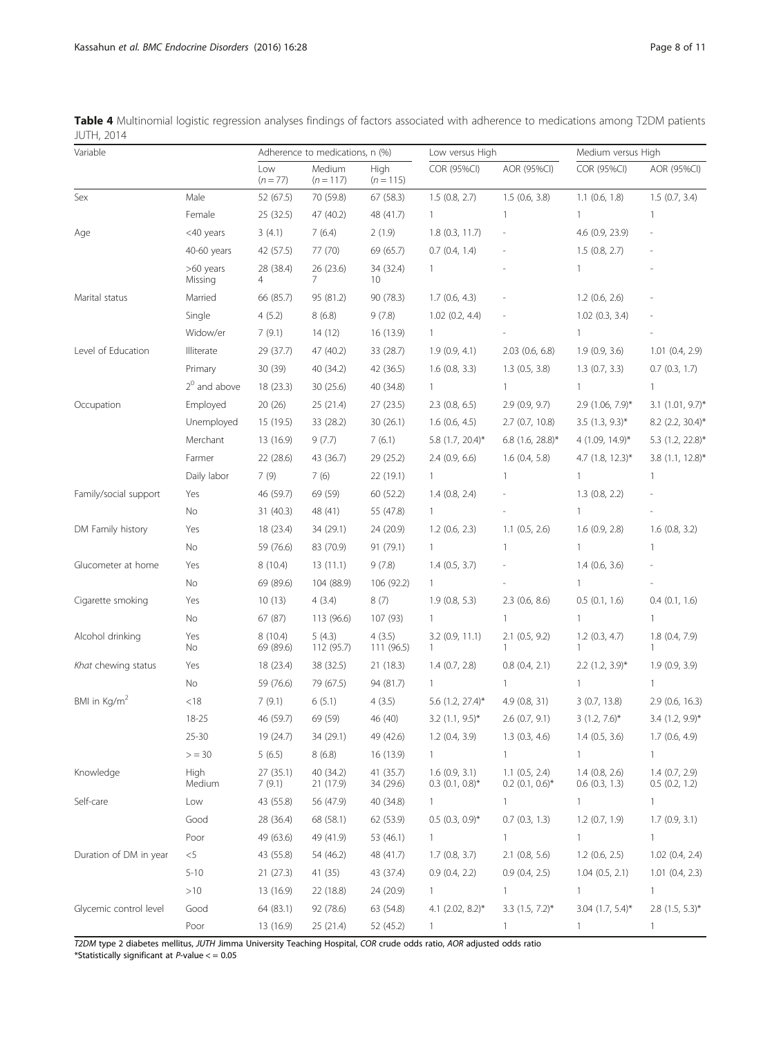<span id="page-7-0"></span>

| Table 4 Multinomial logistic regression analyses findings of factors associated with adherence to medications among T2DM patients |  |  |  |  |  |
|-----------------------------------------------------------------------------------------------------------------------------------|--|--|--|--|--|
| <b>JUTH, 2014</b>                                                                                                                 |  |  |  |  |  |

| Variable                 |                      | Adherence to medications, n (%) |                        |                        | Low versus High                       |                                       | Medium versus High                     |                                     |
|--------------------------|----------------------|---------------------------------|------------------------|------------------------|---------------------------------------|---------------------------------------|----------------------------------------|-------------------------------------|
|                          |                      | Low<br>$(n = 77)$               | Medium<br>$(n = 117)$  | High<br>$(n = 115)$    | COR (95%CI)                           | AOR (95%CI)                           | COR (95%CI)                            | AOR (95%CI)                         |
| Sex                      | Male                 | 52 (67.5)                       | 70 (59.8)              | 67 (58.3)              | $1.5$ (0.8, 2.7)                      | 1.5(0.6, 3.8)                         | $1.1$ (0.6, 1.8)                       | 1.5(0.7, 3.4)                       |
|                          | Female               | 25 (32.5)                       | 47 (40.2)              | 48 (41.7)              | $\mathbf{1}$                          | 1                                     | $\mathbf{1}$                           | $\mathbf{1}$                        |
| Age                      | <40 years            | 3(4.1)                          | 7(6.4)                 | 2(1.9)                 | $1.8$ (0.3, 11.7)                     |                                       | 4.6 (0.9, 23.9)                        | $\overline{\phantom{a}}$            |
|                          | 40-60 years          | 42 (57.5)                       | 77 (70)                | 69 (65.7)              | $0.7$ $(0.4, 1.4)$                    |                                       | $1.5$ (0.8, 2.7)                       |                                     |
|                          | >60 years<br>Missing | 28 (38.4)<br>4                  | 26 (23.6)<br>7         | 34 (32.4)<br>10        | $\mathbf{1}$                          |                                       | 1                                      |                                     |
| Marital status           | Married              | 66 (85.7)                       | 95 (81.2)              | 90 (78.3)              | $1.7$ (0.6, 4.3)                      |                                       | $1.2$ (0.6, 2.6)                       |                                     |
|                          | Single               | 4(5.2)                          | 8(6.8)                 | 9(7.8)                 | $1.02$ $(0.2, 4.4)$                   |                                       | $1.02$ $(0.3, 3.4)$                    |                                     |
|                          | Widow/er             | 7(9.1)                          | 14 (12)                | 16 (13.9)              | $\mathbf{1}$                          |                                       | $\mathbf{1}$                           |                                     |
| Level of Education       | Illiterate           | 29 (37.7)                       | 47 (40.2)              | 33 (28.7)              | 1.9(0.9, 4.1)                         | $2.03$ (0.6, 6.8)                     | 1.9(0.9, 3.6)                          | $1.01$ $(0.4, 2.9)$                 |
|                          | Primary              | 30 (39)                         | 40 (34.2)              | 42 (36.5)              | $1.6$ (0.8, 3.3)                      | $1.3$ (0.5, 3.8)                      | 1.3(0.7, 3.3)                          | $0.7$ $(0.3, 1.7)$                  |
|                          | $2^0$ and above      | 18 (23.3)                       | 30 (25.6)              | 40 (34.8)              | $\mathbf{1}$                          | $\mathbf{1}$                          | $\mathbf{1}$                           | $\mathbf{1}$                        |
| Occupation               | Employed             | 20(26)                          | 25 (21.4)              | 27(23.5)               | $2.3$ (0.8, 6.5)                      | 2.9(0.9, 9.7)                         | 2.9 (1.06, 7.9)*                       | $3.1$ (1.01, 9.7)*                  |
|                          | Unemployed           | 15 (19.5)                       | 33 (28.2)              | 30(26.1)               | $1.6$ (0.6, 4.5)                      | $2.7$ (0.7, 10.8)                     | $3.5$ (1.3, 9.3)*                      | 8.2 (2.2, 30.4)*                    |
|                          | Merchant             | 13 (16.9)                       | 9(7.7)                 | 7(6.1)                 | 5.8 $(1.7, 20.4)^*$                   | 6.8 $(1.6, 28.8)^*$                   | $4(1.09, 14.9)^{*}$                    | 5.3 (1.2, 22.8)*                    |
|                          | Farmer               | 22 (28.6)                       | 43 (36.7)              | 29 (25.2)              | $2.4$ (0.9, 6.6)                      | $1.6$ (0.4, 5.8)                      | 4.7 (1.8, 12.3)*                       | 3.8 $(1.1, 12.8)^*$                 |
|                          | Daily labor          | 7(9)                            | 7(6)                   | 22 (19.1)              | $\mathbf{1}$                          | 1                                     | $\mathbf{1}$                           | $\mathbf{1}$                        |
| Family/social support    | Yes                  | 46 (59.7)                       | 69 (59)                | 60 (52.2)              | $1.4$ (0.8, 2.4)                      |                                       | $1.3$ (0.8, 2.2)                       |                                     |
|                          | No                   | 31 (40.3)                       | 48 (41)                | 55 (47.8)              | $\mathbf{1}$                          |                                       | $\mathbf{1}$                           |                                     |
| DM Family history        | Yes                  | 18 (23.4)                       | 34 (29.1)              | 24 (20.9)              | $1.2$ (0.6, 2.3)                      | $1.1$ (0.5, 2.6)                      | $1.6$ (0.9, 2.8)                       | $1.6$ (0.8, 3.2)                    |
|                          | No                   | 59 (76.6)                       | 83 (70.9)              | 91 (79.1)              | $\mathbf{1}$                          | 1                                     | 1                                      | $\mathbf{1}$                        |
| Glucometer at home       | Yes                  | 8(10.4)                         | 13(11.1)               | 9(7.8)                 | $1.4$ (0.5, 3.7)                      |                                       | $1.4$ (0.6, 3.6)                       |                                     |
|                          | No                   | 69 (89.6)                       | 104 (88.9)             | 106 (92.2)             | $\mathbf{1}$                          |                                       | $\mathbf{1}$                           |                                     |
| Cigarette smoking        | Yes                  | 10(13)                          | 4(3.4)                 | 8(7)                   | 1.9(0.8, 5.3)                         | $2.3$ (0.6, 8.6)                      | $0.5$ $(0.1, 1.6)$                     | $0.4$ $(0.1, 1.6)$                  |
|                          | No                   | 67 (87)                         | 113 (96.6)             | 107 (93)               | $\mathbf{1}$                          | $\mathbf{1}$                          | $\mathbf{1}$                           | $\mathbf{1}$                        |
| Alcohol drinking         | Yes<br>No            | 8(10.4)<br>69 (89.6)            | 5(4.3)<br>112 (95.7)   | 4(3.5)<br>111 (96.5)   | $3.2$ (0.9, 11.1)<br>$\mathbf{1}$     | $2.1$ (0.5, 9.2)<br>1                 | $1.2$ (0.3, 4.7)<br>1                  | 1.8(0.4, 7.9)<br>$\mathbf{1}$       |
| Khat chewing status      | Yes                  | 18 (23.4)                       | 38 (32.5)              | 21(18.3)               | $1.4$ (0.7, 2.8)                      | $0.8$ $(0.4, 2.1)$                    | $2.2$ (1.2, 3.9)*                      | 1.9(0.9, 3.9)                       |
|                          | No                   | 59 (76.6)                       | 79 (67.5)              | 94 (81.7)              | $\mathbf{1}$                          | $\mathbf{1}$                          | $\mathbf{1}$                           | $\mathbf{1}$                        |
| BMI in Kg/m <sup>2</sup> | < 18                 | 7(9.1)                          | 6(5.1)                 | 4(3.5)                 | 5.6 (1.2, 27.4)*                      | 4.9 (0.8, 31)                         | 3 (0.7, 13.8)                          | $2.9$ (0.6, 16.3)                   |
|                          | 18-25                | 46 (59.7)                       | 69 (59)                | 46 (40)                | $3.2$ (1.1, 9.5)*                     | $2.6$ (0.7, 9.1)                      | $3(1.2, 7.6)^*$                        | $3.4$ (1.2, 9.9)*                   |
|                          | 25-30                | 19 (24.7)                       | 34 (29.1)              | 49 (42.6)              | 1.2(0.4, 3.9)                         | $1.3$ (0.3, 4.6)                      | $1.4$ (0.5, 3.6)                       | 1.7(0.6, 4.9)                       |
|                          | > 30                 | 5(6.5)                          | 8(6.8)                 | 16 (13.9)              | $\mathbf{1}$                          | $\mathbf{1}$                          | $\mathbf{1}$                           | $\mathbf{1}$                        |
| Knowledge                | High<br>Medium       | 27 (35.1)<br>7(9.1)             | 40 (34.2)<br>21 (17.9) | 41 (35.7)<br>34 (29.6) | $1.6$ (0.9, 3.1)<br>$0.3$ (0.1, 0.8)* | $1.1$ (0.5, 2.4)<br>$0.2$ (0.1, 0.6)* | $1.4$ (0.8, 2.6)<br>$0.6$ $(0.3, 1.3)$ | 1.4(0.7, 2.9)<br>$0.5$ $(0.2, 1.2)$ |
| Self-care                | Low                  | 43 (55.8)                       | 56 (47.9)              | 40 (34.8)              | $\mathbf{1}$                          | $\mathbf{1}$                          | $\mathbf{1}$                           | $\mathbf{1}$                        |
|                          | Good                 | 28 (36.4)                       | 68 (58.1)              | 62 (53.9)              | $0.5$ (0.3, 0.9)*                     | $0.7$ $(0.3, 1.3)$                    | $1.2$ (0.7, 1.9)                       | 1.7(0.9, 3.1)                       |
|                          | Poor                 | 49 (63.6)                       | 49 (41.9)              | 53 (46.1)              | $\mathbf{1}$                          | 1                                     | $\mathbf{1}$                           | $\mathbf{1}$                        |
| Duration of DM in year   | $<$ 5                | 43 (55.8)                       | 54 (46.2)              | 48 (41.7)              | 1.7(0.8, 3.7)                         | $2.1$ (0.8, 5.6)                      | 1.2(0.6, 2.5)                          | $1.02$ (0.4, 2.4)                   |
|                          | $5 - 10$             | 21(27.3)                        | 41 (35)                | 43 (37.4)              | 0.9(0.4, 2.2)                         | 0.9(0.4, 2.5)                         | 1.04(0.5, 2.1)                         | $1.01$ $(0.4, 2.3)$                 |
|                          | $>10$                | 13 (16.9)                       | 22 (18.8)              | 24 (20.9)              | $\mathbf{1}$                          | $\mathbf{1}$                          | $\mathbf{1}$                           | $\mathbf{1}$                        |
| Glycemic control level   | Good                 | 64 (83.1)                       | 92 (78.6)              | 63 (54.8)              | 4.1 $(2.02, 8.2)^*$                   | 3.3 $(1.5, 7.2)^*$                    | $3.04$ (1.7, 5.4)*                     | $2.8$ (1.5, 5.3)*                   |
|                          | Poor                 | 13 (16.9)                       | 25 (21.4)              | 52 (45.2)              | $\mathbf{1}$                          | $\mathbf{1}$                          | $\mathbf{1}$                           | $\mathbf{1}$                        |

T2DM type 2 diabetes mellitus, JUTH Jimma University Teaching Hospital, COR crude odds ratio, AOR adjusted odds ratio \*Statistically significant at  $P$ -value  $\lt$  = 0.05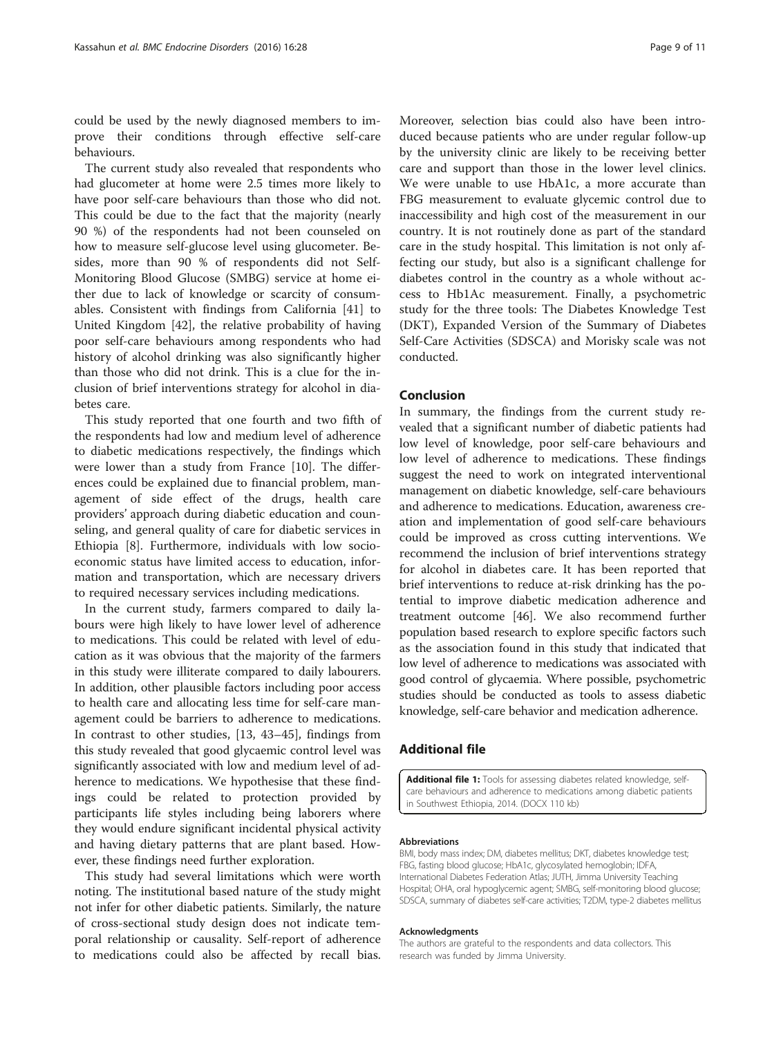<span id="page-8-0"></span>could be used by the newly diagnosed members to improve their conditions through effective self-care behaviours.

The current study also revealed that respondents who had glucometer at home were 2.5 times more likely to have poor self-care behaviours than those who did not. This could be due to the fact that the majority (nearly 90 %) of the respondents had not been counseled on how to measure self-glucose level using glucometer. Besides, more than 90 % of respondents did not Self-Monitoring Blood Glucose (SMBG) service at home either due to lack of knowledge or scarcity of consumables. Consistent with findings from California [[41](#page-10-0)] to United Kingdom [[42](#page-10-0)], the relative probability of having poor self-care behaviours among respondents who had history of alcohol drinking was also significantly higher than those who did not drink. This is a clue for the inclusion of brief interventions strategy for alcohol in diabetes care.

This study reported that one fourth and two fifth of the respondents had low and medium level of adherence to diabetic medications respectively, the findings which were lower than a study from France [\[10](#page-9-0)]. The differences could be explained due to financial problem, management of side effect of the drugs, health care providers' approach during diabetic education and counseling, and general quality of care for diabetic services in Ethiopia [[8\]](#page-9-0). Furthermore, individuals with low socioeconomic status have limited access to education, information and transportation, which are necessary drivers to required necessary services including medications.

In the current study, farmers compared to daily labours were high likely to have lower level of adherence to medications. This could be related with level of education as it was obvious that the majority of the farmers in this study were illiterate compared to daily labourers. In addition, other plausible factors including poor access to health care and allocating less time for self-care management could be barriers to adherence to medications. In contrast to other studies, [[13,](#page-9-0) [43](#page-10-0)–[45\]](#page-10-0), findings from this study revealed that good glycaemic control level was significantly associated with low and medium level of adherence to medications. We hypothesise that these findings could be related to protection provided by participants life styles including being laborers where they would endure significant incidental physical activity and having dietary patterns that are plant based. However, these findings need further exploration.

This study had several limitations which were worth noting. The institutional based nature of the study might not infer for other diabetic patients. Similarly, the nature of cross-sectional study design does not indicate temporal relationship or causality. Self-report of adherence to medications could also be affected by recall bias.

Moreover, selection bias could also have been introduced because patients who are under regular follow-up by the university clinic are likely to be receiving better care and support than those in the lower level clinics. We were unable to use HbA1c, a more accurate than FBG measurement to evaluate glycemic control due to inaccessibility and high cost of the measurement in our country. It is not routinely done as part of the standard care in the study hospital. This limitation is not only affecting our study, but also is a significant challenge for diabetes control in the country as a whole without access to Hb1Ac measurement. Finally, a psychometric study for the three tools: The Diabetes Knowledge Test (DKT), Expanded Version of the Summary of Diabetes Self-Care Activities (SDSCA) and Morisky scale was not conducted.

#### Conclusion

In summary, the findings from the current study revealed that a significant number of diabetic patients had low level of knowledge, poor self-care behaviours and low level of adherence to medications. These findings suggest the need to work on integrated interventional management on diabetic knowledge, self-care behaviours and adherence to medications. Education, awareness creation and implementation of good self-care behaviours could be improved as cross cutting interventions. We recommend the inclusion of brief interventions strategy for alcohol in diabetes care. It has been reported that brief interventions to reduce at-risk drinking has the potential to improve diabetic medication adherence and treatment outcome [\[46\]](#page-10-0). We also recommend further population based research to explore specific factors such as the association found in this study that indicated that low level of adherence to medications was associated with good control of glycaemia. Where possible, psychometric studies should be conducted as tools to assess diabetic knowledge, self-care behavior and medication adherence.

## Additional file

[Additional file 1:](dx.doi.org/10.1186/s12902-016-0114-x) Tools for assessing diabetes related knowledge, selfcare behaviours and adherence to medications among diabetic patients in Southwest Ethiopia, 2014. (DOCX 110 kb)

#### Abbreviations

BMI, body mass index; DM, diabetes mellitus; DKT, diabetes knowledge test; FBG, fasting blood glucose; HbA1c, glycosylated hemoglobin; IDFA, International Diabetes Federation Atlas; JUTH, Jimma University Teaching Hospital; OHA, oral hypoglycemic agent; SMBG, self-monitoring blood glucose; SDSCA, summary of diabetes self-care activities; T2DM, type-2 diabetes mellitus

#### Acknowledgments

The authors are grateful to the respondents and data collectors. This research was funded by Jimma University.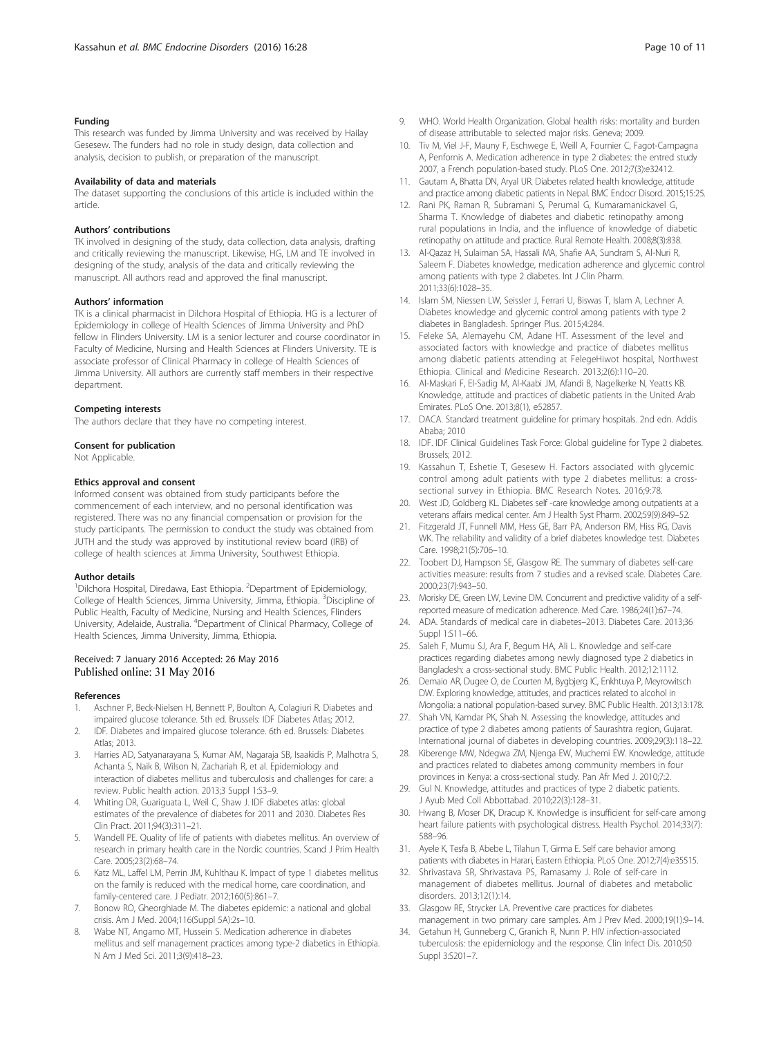#### <span id="page-9-0"></span>Funding

This research was funded by Jimma University and was received by Hailay Gesesew. The funders had no role in study design, data collection and analysis, decision to publish, or preparation of the manuscript.

#### Availability of data and materials

The dataset supporting the conclusions of this article is included within the article.

#### Authors' contributions

TK involved in designing of the study, data collection, data analysis, drafting and critically reviewing the manuscript. Likewise, HG, LM and TE involved in designing of the study, analysis of the data and critically reviewing the manuscript. All authors read and approved the final manuscript.

#### Authors' information

TK is a clinical pharmacist in Dilchora Hospital of Ethiopia. HG is a lecturer of Epidemiology in college of Health Sciences of Jimma University and PhD fellow in Flinders University. LM is a senior lecturer and course coordinator in Faculty of Medicine, Nursing and Health Sciences at Flinders University. TE is associate professor of Clinical Pharmacy in college of Health Sciences of Jimma University. All authors are currently staff members in their respective department.

#### Competing interests

The authors declare that they have no competing interest.

#### Consent for publication

Not Applicable.

#### Ethics approval and consent

Informed consent was obtained from study participants before the commencement of each interview, and no personal identification was registered. There was no any financial compensation or provision for the study participants. The permission to conduct the study was obtained from JUTH and the study was approved by institutional review board (IRB) of college of health sciences at Jimma University, Southwest Ethiopia.

#### Author details

<sup>1</sup>Dilchora Hospital, Diredawa, East Ethiopia. <sup>2</sup>Department of Epidemiology, College of Health Sciences, Jimma University, Jimma, Ethiopia. <sup>3</sup>Discipline of Public Health, Faculty of Medicine, Nursing and Health Sciences, Flinders University, Adelaide, Australia. <sup>4</sup>Department of Clinical Pharmacy, College of Health Sciences, Jimma University, Jimma, Ethiopia.

#### Received: 7 January 2016 Accepted: 26 May 2016 Published online: 31 May 2016

#### References

- 1. Aschner P, Beck-Nielsen H, Bennett P, Boulton A, Colagiuri R. Diabetes and impaired glucose tolerance. 5th ed. Brussels: IDF Diabetes Atlas; 2012.
- 2. IDF. Diabetes and impaired glucose tolerance. 6th ed. Brussels: Diabetes Atlas; 2013.
- 3. Harries AD, Satyanarayana S, Kumar AM, Nagaraja SB, Isaakidis P, Malhotra S, Achanta S, Naik B, Wilson N, Zachariah R, et al. Epidemiology and interaction of diabetes mellitus and tuberculosis and challenges for care: a review. Public health action. 2013;3 Suppl 1:S3–9.
- 4. Whiting DR, Guariguata L, Weil C, Shaw J. IDF diabetes atlas: global estimates of the prevalence of diabetes for 2011 and 2030. Diabetes Res Clin Pract. 2011;94(3):311–21.
- 5. Wandell PE. Quality of life of patients with diabetes mellitus. An overview of research in primary health care in the Nordic countries. Scand J Prim Health Care. 2005;23(2):68–74.
- 6. Katz ML, Laffel LM, Perrin JM, Kuhlthau K. Impact of type 1 diabetes mellitus on the family is reduced with the medical home, care coordination, and family-centered care. J Pediatr. 2012;160(5):861–7.
- 7. Bonow RO, Gheorghiade M. The diabetes epidemic: a national and global crisis. Am J Med. 2004;116(Suppl 5A):2s–10.
- Wabe NT, Angamo MT, Hussein S. Medication adherence in diabetes mellitus and self management practices among type-2 diabetics in Ethiopia. N Am J Med Sci. 2011;3(9):418–23.
- 9. WHO. World Health Organization. Global health risks: mortality and burden of disease attributable to selected major risks. Geneva; 2009.
- 10. Tiv M, Viel J-F, Mauny F, Eschwege E, Weill A, Fournier C, Fagot-Campagna A, Penfornis A. Medication adherence in type 2 diabetes: the entred study 2007, a French population-based study. PLoS One. 2012;7(3):e32412.
- 11. Gautam A, Bhatta DN, Aryal UR. Diabetes related health knowledge, attitude and practice among diabetic patients in Nepal. BMC Endocr Disord. 2015;15:25.
- 12. Rani PK, Raman R, Subramani S, Perumal G, Kumaramanickavel G, Sharma T. Knowledge of diabetes and diabetic retinopathy among rural populations in India, and the influence of knowledge of diabetic retinopathy on attitude and practice. Rural Remote Health. 2008;8(3):838.
- 13. Al-Qazaz H, Sulaiman SA, Hassali MA, Shafie AA, Sundram S, Al-Nuri R, Saleem F. Diabetes knowledge, medication adherence and glycemic control among patients with type 2 diabetes. Int J Clin Pharm. 2011;33(6):1028–35.
- 14. Islam SM, Niessen LW, Seissler J, Ferrari U, Biswas T, Islam A, Lechner A. Diabetes knowledge and glycemic control among patients with type 2 diabetes in Bangladesh. Springer Plus. 2015;4:284.
- 15. Feleke SA, Alemayehu CM, Adane HT. Assessment of the level and associated factors with knowledge and practice of diabetes mellitus among diabetic patients attending at FelegeHiwot hospital, Northwest Ethiopia. Clinical and Medicine Research. 2013;2(6):110–20.
- 16. Al-Maskari F, El-Sadig M, Al-Kaabi JM, Afandi B, Nagelkerke N, Yeatts KB. Knowledge, attitude and practices of diabetic patients in the United Arab Emirates. PLoS One. 2013;8(1), e52857.
- 17. DACA. Standard treatment guideline for primary hospitals. 2nd edn. Addis Ababa; 2010
- 18. IDF. IDF Clinical Guidelines Task Force: Global guideline for Type 2 diabetes. Brussels; 2012.
- 19. Kassahun T, Eshetie T, Gesesew H. Factors associated with glycemic control among adult patients with type 2 diabetes mellitus: a crosssectional survey in Ethiopia. BMC Research Notes. 2016;9:78.
- 20. West JD, Goldberg KL. Diabetes self -care knowledge among outpatients at a veterans affairs medical center. Am J Health Syst Pharm. 2002;59(9):849–52.
- 21. Fitzgerald JT, Funnell MM, Hess GE, Barr PA, Anderson RM, Hiss RG, Davis WK. The reliability and validity of a brief diabetes knowledge test. Diabetes Care. 1998;21(5):706–10.
- 22. Toobert DJ, Hampson SE, Glasgow RE. The summary of diabetes self-care activities measure: results from 7 studies and a revised scale. Diabetes Care. 2000;23(7):943–50.
- 23. Morisky DE, Green LW, Levine DM. Concurrent and predictive validity of a selfreported measure of medication adherence. Med Care. 1986;24(1):67–74.
- 24. ADA. Standards of medical care in diabetes–2013. Diabetes Care. 2013;36 Suppl 1:S11–66.
- 25. Saleh F, Mumu SJ, Ara F, Begum HA, Ali L. Knowledge and self-care practices regarding diabetes among newly diagnosed type 2 diabetics in Bangladesh: a cross-sectional study. BMC Public Health. 2012;12:1112.
- 26. Demaio AR, Dugee O, de Courten M, Bygbjerg IC, Enkhtuya P, Meyrowitsch DW. Exploring knowledge, attitudes, and practices related to alcohol in Mongolia: a national population-based survey. BMC Public Health. 2013;13:178.
- 27. Shah VN, Kamdar PK, Shah N. Assessing the knowledge, attitudes and practice of type 2 diabetes among patients of Saurashtra region, Gujarat. International journal of diabetes in developing countries. 2009;29(3):118–22.
- 28. Kiberenge MW, Ndegwa ZM, Njenga EW, Muchemi EW. Knowledge, attitude and practices related to diabetes among community members in four provinces in Kenya: a cross-sectional study. Pan Afr Med J. 2010;7:2.
- 29. Gul N. Knowledge, attitudes and practices of type 2 diabetic patients. J Ayub Med Coll Abbottabad. 2010;22(3):128–31.
- 30. Hwang B, Moser DK, Dracup K. Knowledge is insufficient for self-care among heart failure patients with psychological distress. Health Psychol. 2014;33(7): 588–96.
- 31. Ayele K, Tesfa B, Abebe L, Tilahun T, Girma E. Self care behavior among patients with diabetes in Harari, Eastern Ethiopia. PLoS One. 2012;7(4):e35515.
- 32. Shrivastava SR, Shrivastava PS, Ramasamy J. Role of self-care in management of diabetes mellitus. Journal of diabetes and metabolic disorders. 2013;12(1):14.
- 33. Glasgow RE, Strycker LA. Preventive care practices for diabetes management in two primary care samples. Am J Prev Med. 2000;19(1):9–14.
- 34. Getahun H, Gunneberg C, Granich R, Nunn P. HIV infection-associated tuberculosis: the epidemiology and the response. Clin Infect Dis. 2010;50 Suppl 3:S201–7.